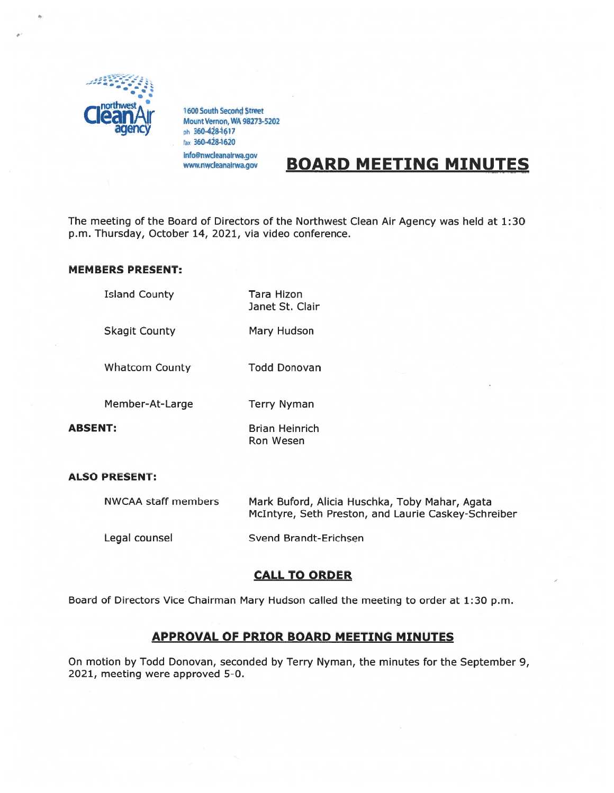

1600 South Second Street<br>Mount Vernon, WA 98273-5202 ph 360-428-1617 fax 3604284620 info@nwdeanairwa.gov

# **BOARD MEETING MINUTES**

The meeting of the Board of Directors of the Northwest Clean Air Agency was held at 1:30 p.m. Thursday, October 14, 2021, via video conference.

## MEMBERS PRESENT:

Island County Tara Hizon Janet St. Clair

Skagit County Mary Hudson

Whatcom County Todd Donovan

Member-At-Large Terry Nyman

ABSENT: Brian Heinrich Ron Wesen

#### ALSO PRESENT:

| NWCAA staff members | Mark Buford, Alicia Huschka, Toby Mahar, Agata<br>McIntyre, Seth Preston, and Laurie Caskey-Schreiber |
|---------------------|-------------------------------------------------------------------------------------------------------|
| Legal counsel       | Svend Brandt-Erichsen                                                                                 |

## CALL TO ORDER

Board of Directors Vice Chairman Mary Hudson called the meeting to order at 1:30 p.m.

# APPROVAL OF PRIOR BOARD MEETING MINUTES

On motion by Todd Donovan, seconded by Terry Nyman, the minutes for the September 9, 2021, meeting were approved 5-0.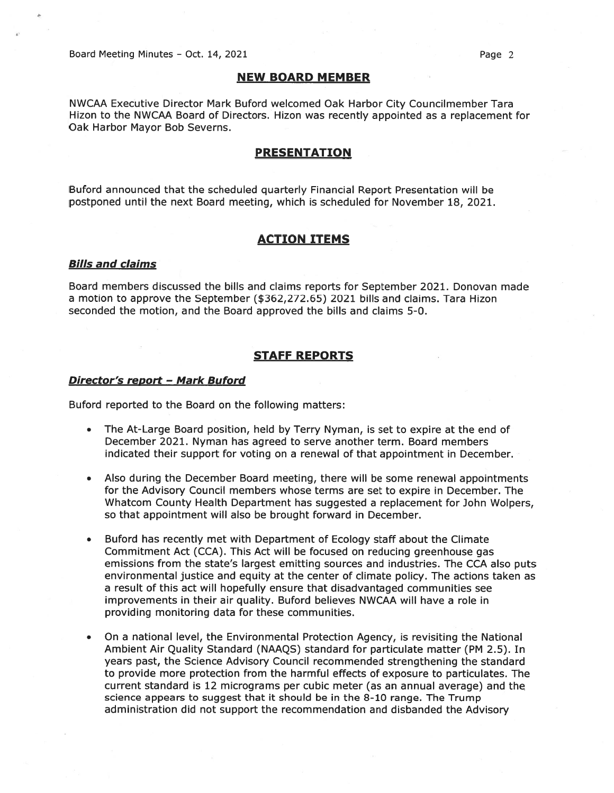Board Meeting Minutes - Oct. 14, 2021 **Page 2** 

#### NEW BOARD MEMBER

NWCAA Executive Director Mark Buford welcomed Oak Harbor City Councilmember Tara Hizon to the NWCAA Board of Directors. Hizon was recently appointed as <sup>a</sup> replacement for Oak Harbor Mayor Bob Severns.

#### PRESENTATION

Buford announced that the scheduled quarterly Financial Report Presentation will be postponed until the next Board meeting, which is scheduled for November 18, 2021.

## ACTION ITEMS

#### Bills and claims

Board members discussed the bills and claims reports for September 2021. Donovan made <sup>a</sup> motion to approve the September (\$362,272.65) 2021 bills and claims. Tara Hizon seconded the motion, and the Board approved the bills and claims 5-0.

### STAFF REPORTS

#### Director's report - Mark Buford

Buford reported to the Board on the following matters:

- • The At-Large Board position, held by Terry Nyman, is set to expire at the end of December 2021. Nyman has agreed to serve another term. Board members indicated their suppor<sup>t</sup> for voting on <sup>a</sup> renewal of that appointment in December.
- • Also during the December Board meeting, there will be some renewal appointments for the Advisory Council members whose terms are set to expire in December. The Whatcom County Health Department has suggested <sup>a</sup> replacement for John Wolpers, so that appointment will also be brought forward in December.
- Buford has recently met with Department of Ecology staff about the Climate Commitment Act (CCA). This Act will be focused on reducing greenhouse gas emissions from the state's largest emitting sources and industries. The CCA also puts environmental justice and equity at the center of climate policy. The actions taken as <sup>a</sup> result of this act will hopefully ensure that disadvantaged communities see improvements in their air quality. Buford believes NWCAA will have <sup>a</sup> role in providing monitoring data for these communities.
- • On <sup>a</sup> national level, the Environmental Protection Agency, is revisiting the National Ambient Air Quality Standard (NAAQS) standard for particulate matter (PM 2.5). In years past, the Science Advisory Council recommended strengthening the standard to provide more protection from the harmful effects of exposure to particulates. The current standard is 12 micrograms per cubic meter (as an annual average) and the science appears to sugges<sup>t</sup> that it should be in the 8-10 range. The Trump administration did not suppor<sup>t</sup> the recommendation and disbanded the Advisory